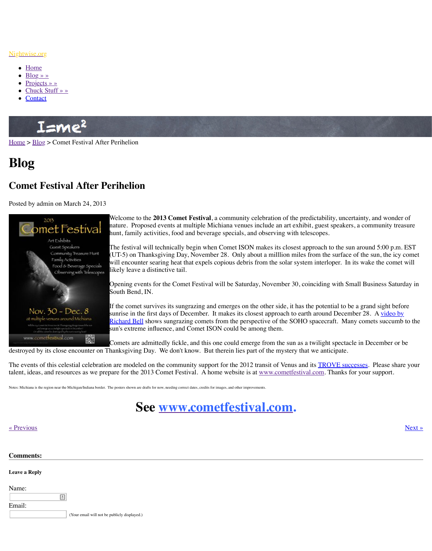

Welcome to the **2013 Comet Festival**, a community celebration of the predictability, uncertainty, and wonder of nature. Proposed events at multiple Michiana venues include and a hunt, family activities, food and beverage specials, and

The festival will technically begin when Comet ISON  $\overline{\phantom{a}}$ (UT-5) on Thanksgiving Day, November 28. Only abo will encounter searing heat that expels copious debris from the solar system interloper. In its will encounter [likely leave a distinctive tail.](http://www.nightwise.org/) 

Opening events for the Comet Festival will be Saturday South Bend, IN.

If the comet survives its sungrazing and emerges on the sunrise in the first days of December. It makes its closes Richard Bell shows sungrazing comets from the perspe sun's extreme influence, and Comet ISON could be am

Comets are admittedly fickle, and this one could emergenthe sum as a twilight spectacle in  $\mathbb{R}^n$ destroyed by its close encounter on Thanksgiving Day. We don't know. But therein lies part

[The ev](http://www.nightwise.org/)e[nts of](http://www.nightwise.org/blog/) this celestial celebration are modeled on the community support for the 2012 to talent, ideas, and resources as we prepare for the 2013 Comet Festival. A home website is at

Notes: Michiana is the region near the Michigan/Indiana border. The posters shown are drafts for now, needing correct dates, credits for images, and other improvements.



## « Previous » Next » Next » Next » Next » Next » Next » Next » Next » Next » Next » Next » Next » Next » Next » Next » Next » Next » Next » Next » Next » Next » Next » Next » Next » Next » Next » Next » Next » Next » Next »

## **Comments:**

## **Leave a Reply**

Name: E Email:

(Your email will not be publicly displayed.)